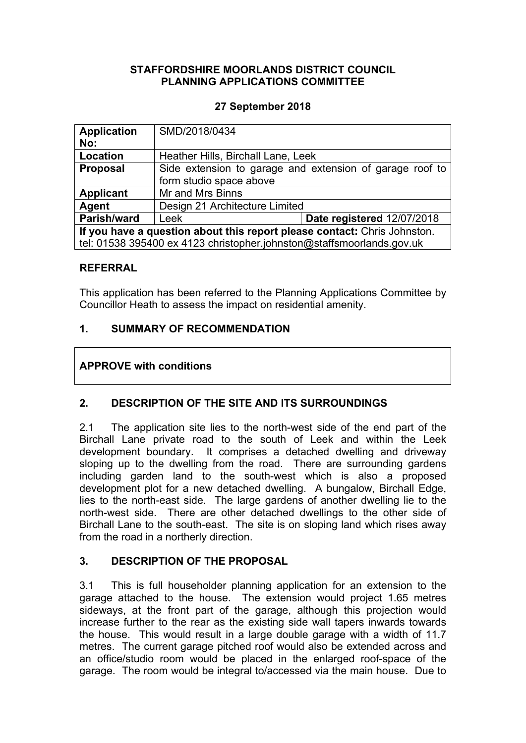### **STAFFORDSHIRE MOORLANDS DISTRICT COUNCIL PLANNING APPLICATIONS COMMITTEE**

### **27 September 2018**

| <b>Application</b><br>No:                                                | SMD/2018/0434                                                                       |                            |
|--------------------------------------------------------------------------|-------------------------------------------------------------------------------------|----------------------------|
| Location                                                                 | Heather Hills, Birchall Lane, Leek                                                  |                            |
| <b>Proposal</b>                                                          | Side extension to garage and extension of garage roof to<br>form studio space above |                            |
| <b>Applicant</b>                                                         | Mr and Mrs Binns                                                                    |                            |
| Agent                                                                    | Design 21 Architecture Limited                                                      |                            |
| Parish/ward                                                              | Leek                                                                                | Date registered 12/07/2018 |
| If you have a question about this report please contact: Chris Johnston. |                                                                                     |                            |
| tel: 01538 395400 ex 4123 christopher.johnston@staffsmoorlands.gov.uk    |                                                                                     |                            |

### **REFERRAL**

This application has been referred to the Planning Applications Committee by Councillor Heath to assess the impact on residential amenity.

### **1. SUMMARY OF RECOMMENDATION**

### **APPROVE with conditions**

# **2. DESCRIPTION OF THE SITE AND ITS SURROUNDINGS**

2.1 The application site lies to the north-west side of the end part of the Birchall Lane private road to the south of Leek and within the Leek development boundary. It comprises a detached dwelling and driveway sloping up to the dwelling from the road. There are surrounding gardens including garden land to the south-west which is also a proposed development plot for a new detached dwelling. A bungalow, Birchall Edge, lies to the north-east side. The large gardens of another dwelling lie to the north-west side. There are other detached dwellings to the other side of Birchall Lane to the south-east. The site is on sloping land which rises away from the road in a northerly direction.

### **3. DESCRIPTION OF THE PROPOSAL**

3.1 This is full householder planning application for an extension to the garage attached to the house. The extension would project 1.65 metres sideways, at the front part of the garage, although this projection would increase further to the rear as the existing side wall tapers inwards towards the house. This would result in a large double garage with a width of 11.7 metres. The current garage pitched roof would also be extended across and an office/studio room would be placed in the enlarged roof-space of the garage. The room would be integral to/accessed via the main house. Due to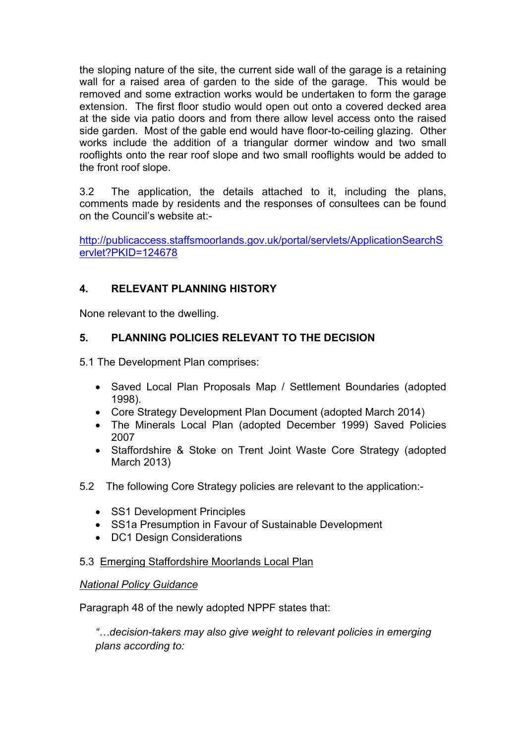the sloping nature of the site, the current side wall of the garage is a retaining wall for a raised area of garden to the side of the garage. This would be removed and some extraction works would be undertaken to form the garage extension. The first floor studio would open out onto a covered decked area at the side via patio doors and from there allow level access onto the raised side garden. Most of the gable end would have floor-to-ceiling glazing. Other works include the addition of a triangular dormer window and two small rooflights onto the rear roof slope and two small rooflights would be added to the front roof slope.

3.2 The application, the details attached to it, including the plans, comments made by residents and the responses of consultees can be found on the Council's website at:-

[http://publicaccess.staffsmoorlands.gov.uk/portal/servlets/ApplicationSearchS](http://publicaccess.staffsmoorlands.gov.uk/portal/servlets/ApplicationSearchServlet?PKID=124678) [ervlet?PKID=124678](http://publicaccess.staffsmoorlands.gov.uk/portal/servlets/ApplicationSearchServlet?PKID=124678)

# **4. RELEVANT PLANNING HISTORY**

None relevant to the dwelling.

# **5. PLANNING POLICIES RELEVANT TO THE DECISION**

5.1 The Development Plan comprises:

- Saved Local Plan Proposals Map / Settlement Boundaries (adopted 1998).
- Core Strategy Development Plan Document (adopted March 2014)
- The Minerals Local Plan (adopted December 1999) Saved Policies 2007
- Staffordshire & Stoke on Trent Joint Waste Core Strategy (adopted March 2013)
- 5.2 The following Core Strategy policies are relevant to the application:-
	- SS1 Development Principles
	- SS1a Presumption in Favour of Sustainable Development
	- DC1 Design Considerations

# 5.3 Emerging Staffordshire Moorlands Local Plan

### *National Policy Guidance*

Paragraph 48 of the newly adopted NPPF states that:

*"…decision-takers may also give weight to relevant policies in emerging plans according to:*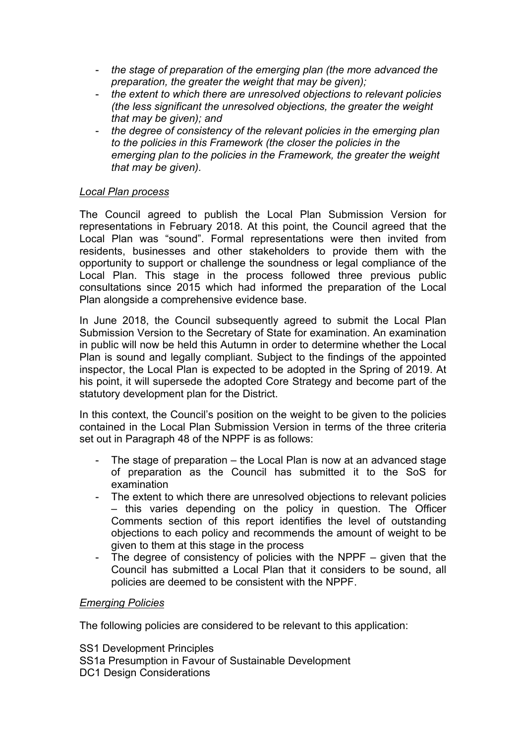- *the stage of preparation of the emerging plan (the more advanced the preparation, the greater the weight that may be given);*
- *the extent to which there are unresolved objections to relevant policies (the less significant the unresolved objections, the greater the weight that may be given); and*
- *the degree of consistency of the relevant policies in the emerging plan to the policies in this Framework (the closer the policies in the emerging plan to the policies in the Framework, the greater the weight that may be given).*

### *Local Plan process*

The Council agreed to publish the Local Plan Submission Version for representations in February 2018. At this point, the Council agreed that the Local Plan was "sound". Formal representations were then invited from residents, businesses and other stakeholders to provide them with the opportunity to support or challenge the soundness or legal compliance of the Local Plan. This stage in the process followed three previous public consultations since 2015 which had informed the preparation of the Local Plan alongside a comprehensive evidence base.

In June 2018, the Council subsequently agreed to submit the Local Plan Submission Version to the Secretary of State for examination. An examination in public will now be held this Autumn in order to determine whether the Local Plan is sound and legally compliant. Subject to the findings of the appointed inspector, the Local Plan is expected to be adopted in the Spring of 2019. At his point, it will supersede the adopted Core Strategy and become part of the statutory development plan for the District.

In this context, the Council's position on the weight to be given to the policies contained in the Local Plan Submission Version in terms of the three criteria set out in Paragraph 48 of the NPPF is as follows:

- The stage of preparation  $-$  the Local Plan is now at an advanced stage of preparation as the Council has submitted it to the SoS for examination
- The extent to which there are unresolved objections to relevant policies – this varies depending on the policy in question. The Officer Comments section of this report identifies the level of outstanding objections to each policy and recommends the amount of weight to be given to them at this stage in the process
- The degree of consistency of policies with the NPPF given that the Council has submitted a Local Plan that it considers to be sound, all policies are deemed to be consistent with the NPPF.

### *Emerging Policies*

The following policies are considered to be relevant to this application:

SS1 Development Principles SS1a Presumption in Favour of Sustainable Development DC1 Design Considerations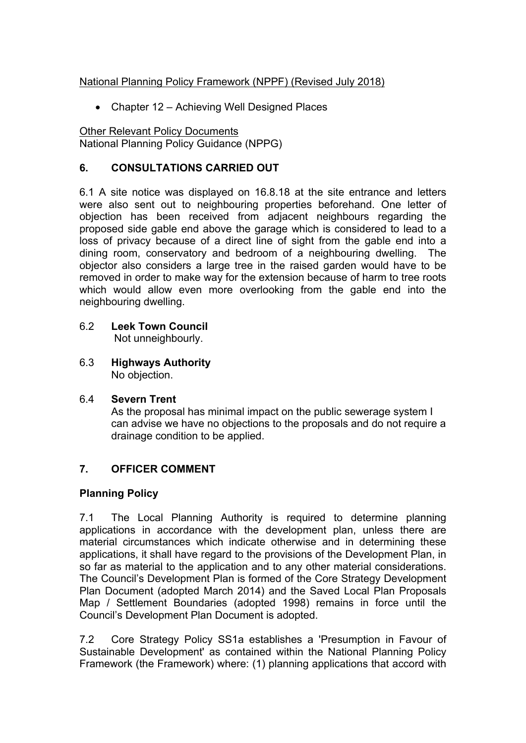### National Planning Policy Framework (NPPF) (Revised July 2018)

• Chapter 12 – Achieving Well Designed Places

Other Relevant Policy Documents National Planning Policy Guidance (NPPG)

# **6. CONSULTATIONS CARRIED OUT**

6.1 A site notice was displayed on 16.8.18 at the site entrance and letters were also sent out to neighbouring properties beforehand. One letter of objection has been received from adjacent neighbours regarding the proposed side gable end above the garage which is considered to lead to a loss of privacy because of a direct line of sight from the gable end into a dining room, conservatory and bedroom of a neighbouring dwelling. The objector also considers a large tree in the raised garden would have to be removed in order to make way for the extension because of harm to tree roots which would allow even more overlooking from the gable end into the neighbouring dwelling.

- 6.2 **Leek Town Council** Not unneighbourly.
- 6.3 **Highways Authority** No objection.

# 6.4 **Severn Trent**

As the proposal has minimal impact on the public sewerage system I can advise we have no objections to the proposals and do not require a drainage condition to be applied.

# **7. OFFICER COMMENT**

# **Planning Policy**

7.1 The Local Planning Authority is required to determine planning applications in accordance with the development plan, unless there are material circumstances which indicate otherwise and in determining these applications, it shall have regard to the provisions of the Development Plan, in so far as material to the application and to any other material considerations. The Council's Development Plan is formed of the Core Strategy Development Plan Document (adopted March 2014) and the Saved Local Plan Proposals Map / Settlement Boundaries (adopted 1998) remains in force until the Council's Development Plan Document is adopted.

7.2 Core Strategy Policy SS1a establishes a 'Presumption in Favour of Sustainable Development' as contained within the National Planning Policy Framework (the Framework) where: (1) planning applications that accord with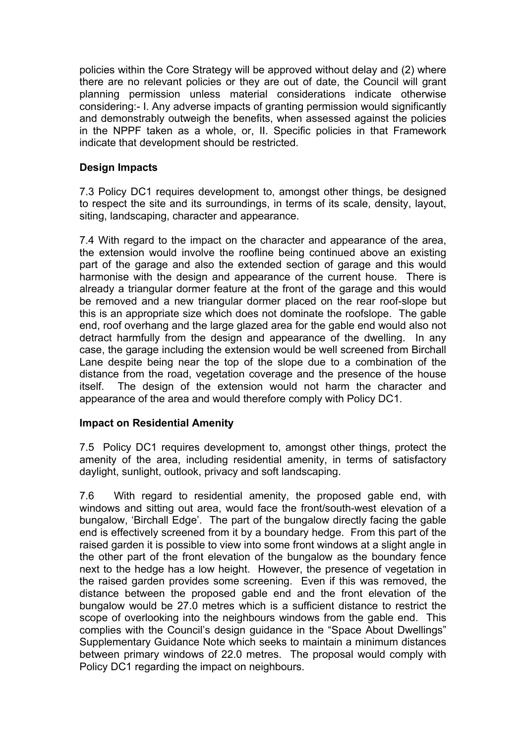policies within the Core Strategy will be approved without delay and (2) where there are no relevant policies or they are out of date, the Council will grant planning permission unless material considerations indicate otherwise considering:- I. Any adverse impacts of granting permission would significantly and demonstrably outweigh the benefits, when assessed against the policies in the NPPF taken as a whole, or, II. Specific policies in that Framework indicate that development should be restricted.

# **Design Impacts**

7.3 Policy DC1 requires development to, amongst other things, be designed to respect the site and its surroundings, in terms of its scale, density, layout, siting, landscaping, character and appearance.

7.4 With regard to the impact on the character and appearance of the area, the extension would involve the roofline being continued above an existing part of the garage and also the extended section of garage and this would harmonise with the design and appearance of the current house. There is already a triangular dormer feature at the front of the garage and this would be removed and a new triangular dormer placed on the rear roof-slope but this is an appropriate size which does not dominate the roofslope. The gable end, roof overhang and the large glazed area for the gable end would also not detract harmfully from the design and appearance of the dwelling. In any case, the garage including the extension would be well screened from Birchall Lane despite being near the top of the slope due to a combination of the distance from the road, vegetation coverage and the presence of the house itself. The design of the extension would not harm the character and appearance of the area and would therefore comply with Policy DC1.

### **Impact on Residential Amenity**

7.5 Policy DC1 requires development to, amongst other things, protect the amenity of the area, including residential amenity, in terms of satisfactory daylight, sunlight, outlook, privacy and soft landscaping.

7.6 With regard to residential amenity, the proposed gable end, with windows and sitting out area, would face the front/south-west elevation of a bungalow, 'Birchall Edge'. The part of the bungalow directly facing the gable end is effectively screened from it by a boundary hedge. From this part of the raised garden it is possible to view into some front windows at a slight angle in the other part of the front elevation of the bungalow as the boundary fence next to the hedge has a low height. However, the presence of vegetation in the raised garden provides some screening. Even if this was removed, the distance between the proposed gable end and the front elevation of the bungalow would be 27.0 metres which is a sufficient distance to restrict the scope of overlooking into the neighbours windows from the gable end. This complies with the Council's design guidance in the "Space About Dwellings" Supplementary Guidance Note which seeks to maintain a minimum distances between primary windows of 22.0 metres. The proposal would comply with Policy DC1 regarding the impact on neighbours.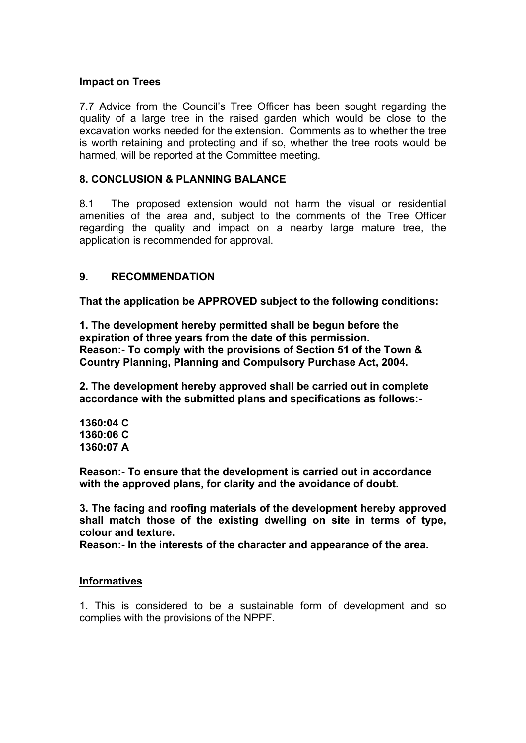#### **Impact on Trees**

7.7 Advice from the Council's Tree Officer has been sought regarding the quality of a large tree in the raised garden which would be close to the excavation works needed for the extension. Comments as to whether the tree is worth retaining and protecting and if so, whether the tree roots would be harmed, will be reported at the Committee meeting.

### **8. CONCLUSION & PLANNING BALANCE**

8.1 The proposed extension would not harm the visual or residential amenities of the area and, subject to the comments of the Tree Officer regarding the quality and impact on a nearby large mature tree, the application is recommended for approval.

### **9. RECOMMENDATION**

**That the application be APPROVED subject to the following conditions:**

**1. The development hereby permitted shall be begun before the expiration of three years from the date of this permission. Reason:- To comply with the provisions of Section 51 of the Town & Country Planning, Planning and Compulsory Purchase Act, 2004.**

**2. The development hereby approved shall be carried out in complete accordance with the submitted plans and specifications as follows:-**

**1360:04 C 1360:06 C 1360:07 A**

**Reason:- To ensure that the development is carried out in accordance with the approved plans, for clarity and the avoidance of doubt.**

**3. The facing and roofing materials of the development hereby approved shall match those of the existing dwelling on site in terms of type, colour and texture.**

**Reason:- In the interests of the character and appearance of the area.** 

### **Informatives**

1. This is considered to be a sustainable form of development and so complies with the provisions of the NPPF.